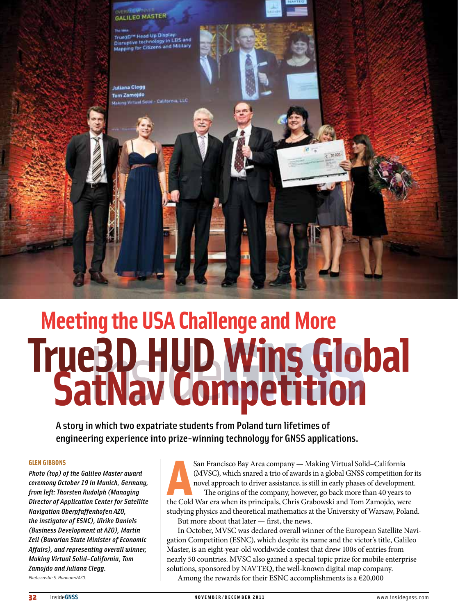

# **Meeting the USA Challenge and More True3D HUDWins Global SatNav Competition**

A story in which two expatriate students from Poland turn lifetimes of engineering experience into prize-winning technology for GNSS applications.

#### **glen gibbons**

*Photo (top) of the Galileo Master award ceremony October 19 in Munich, Germany, from left: Thorsten Rudolph (Managing Director of Application Center for Satellite Navigation Oberpfaffenhofen AZO, the instigator of ESNC), Ulrike Daniels (Business Development at AZO), Martin Zeil (Bavarian State Minister of Economic Affairs), and representing overall winner, Making Virtual Solid–California, Tom Zamojdo and Juliana Clegg.*

*Photo credit: S. Hörmann/AZO.*

San Francisco Bay Area company — Making Virtual Solid–California (MVSC), which snared a trio of awards in a global GNSS competition for novel approach to driver assistance, is still in early phases of development The origi San Francisco Bay Area company — Making Virtual Solid–California (MVSC), which snared a trio of awards in a global GNSS competition for its novel approach to driver assistance, is still in early phases of development. The origins of the company, however, go back more than 40 years to studying physics and theoretical mathematics at the University of Warsaw, Poland. But more about that later — first, the news.

In October, MVSC was declared overall winner of the European Satellite Navigation Competition (ESNC), which despite its name and the victor's title, Galileo Master, is an eight-year-old worldwide contest that drew 100s of entries from nearly 50 countries. MVSC also gained a special topic prize for mobile enterprise solutions, sponsored by NAVTEQ, the well-known digital map company. Among the rewards for their ESNC accomplishments is a  $\epsilon$ 20,000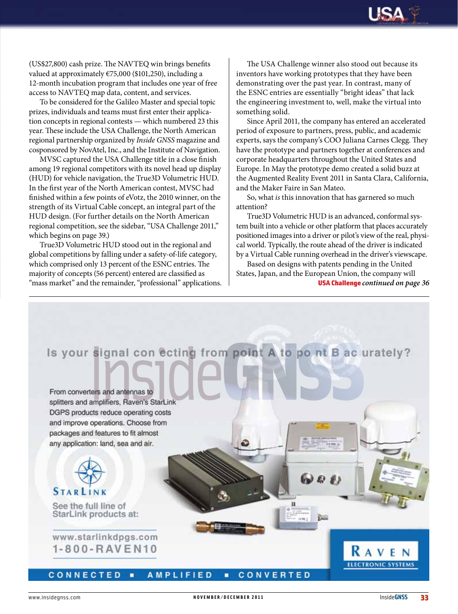

(US\$27,800) cash prize. The NAVTEQ win brings benefits valued at approximately  $\epsilon$ 75,000 (\$101,250), including a 12-month incubation program that includes one year of free access to NAVTEQ map data, content, and services.

To be considered for the Galileo Master and special topic prizes, individuals and teams must first enter their application concepts in regional contests — which numbered 23 this year. These include the USA Challenge, the North American regional partnership organized by *Inside GNSS* magazine and cosponsored by NovAtel, Inc., and the Institute of Navigation.

MVSC captured the USA Challenge title in a close finish among 19 regional competitors with its novel head up display (HUD) for vehicle navigation, the True3D Volumetric HUD. In the first year of the North American contest, MVSC had finished within a few points of eVotz, the 2010 winner, on the strength of its Virtual Cable concept, an integral part of the HUD design. (For further details on the North American regional competition, see the sidebar, "USA Challenge 2011," which begins on page 39.)

True3D Volumetric HUD stood out in the regional and global competitions by falling under a safety-of-life category, which comprised only 13 percent of the ESNC entries. The majority of concepts (56 percent) entered are classified as "mass market" and the remainder, "professional" applications. USA Challenge *continued on page 36*

The USA Challenge winner also stood out because its inventors have working prototypes that they have been demonstrating over the past year. In contrast, many of the ESNC entries are essentially "bright ideas" that lack the engineering investment to, well, make the virtual into something solid.

Since April 2011, the company has entered an accelerated period of exposure to partners, press, public, and academic experts, says the company's COO Juliana Carnes Clegg. They have the prototype and partners together at conferences and corporate headquarters throughout the United States and Europe. In May the prototype demo created a solid buzz at the Augmented Reality Event 2011 in Santa Clara, California, and the Maker Faire in San Mateo.

So, what *is* this innovation that has garnered so much attention?

True3D Volumetric HUD is an advanced, conformal system built into a vehicle or other platform that places accurately positioned images into a driver or pilot's view of the real, physical world. Typically, the route ahead of the driver is indicated by a Virtual Cable running overhead in the driver's viewscape.

Based on designs with patents pending in the United States, Japan, and the European Union, the company will

60 O B

n

# Is your signal con ecting from point A to po nt B ac urately?

From converters and antennas to splitters and amplifiers, Raven's StarLink DGPS products reduce operating costs and improve operations. Choose from packages and features to fit almost any application: land, sea and air.



### **STARLINK**

See the full line of StarLink products at:

www.starlinkdpgs.com 1-800-RAVEN10

RAVEN **ELECTRONIC SYSTEMS** 

#### CONNECTED **AMPLIFIED** CONVERTED п ٠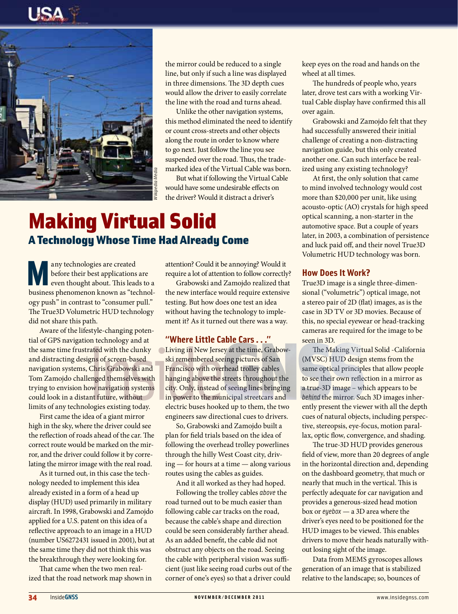



the mirror could be reduced to a single line, but only if such a line was displayed in three dimensions. The 3D depth cues would allow the driver to easily correlate the line with the road and turns ahead.

Unlike the other navigation systems, this method eliminated the need to identify or count cross-streets and other objects along the route in order to know where to go next. Just follow the line you see suspended over the road. Thus, the trademarked idea of the Virtual Cable was born.

But what if following the Virtual Cable would have some undesirable effects on the driver? Would it distract a driver's

# Making Virtual Solid A Technology Whose Time Had Already Come

any technologies are created<br>before their best applications<br>even thought about. This lead before their best applications are even thought about. This leads to a business phenomenon known as "technology push" in contrast to "consumer pull." The True3D Volumetric HUD technology did not share this path.

Aware of the lifestyle-changing potential of GPS navigation technology and at the same time frustrated with the clunky and distracting designs of screen-based navigation systems, Chris Grabowski and Tom Zamojdo challenged themselves with trying to envision how navigation systems could look in a distant future, without limits of any technologies existing today.

First came the idea of a giant mirror high in the sky, where the driver could see the reflection of roads ahead of the car. The correct route would be marked on the mirror, and the driver could follow it by correlating the mirror image with the real road.

As it turned out, in this case the technology needed to implement this idea already existed in a form of a head up display (HUD) used primarily in military aircraft. In 1998, Grabowski and Zamojdo applied for a U.S. patent on this idea of a reflective approach to an image in a HUD (number US6272431 issued in 2001), but at the same time they did not think this was the breakthrough they were looking for.

That came when the two men realized that the road network map shown in attention? Could it be annoying? Would it require a lot of attention to follow correctly?

Grabowski and Zamojdo realized that the new interface would require extensive testing. But how does one test an idea without having the technology to implement it? As it turned out there was a way.

#### **"Where Little Cable Cars . . ."**

Living in New Jersey at the time, Grabowski remembered seeing pictures of San Francisco with overhead trolley cables hanging above the streets throughout the city. Only, instead of seeing lines bringing in power to the municipal streetcars and electric buses hooked up to them, the two engineers saw directional cues to drivers.

So, Grabowski and Zamojdo built a plan for field trials based on the idea of following the overhead trolley powerlines through the hilly West Coast city, driving — for hours at a time — along various routes using the cables as guides.

And it all worked as they had hoped. Following the trolley cables *above* the road turned out to be much easier than following cable car tracks on the road, because the cable's shape and direction could be seen considerably farther ahead. As an added benefit, the cable did not obstruct any objects on the road. Seeing the cable with peripheral vision was sufficient (just like seeing road curbs out of the corner of one's eyes) so that a driver could

keep eyes on the road and hands on the wheel at all times.

The hundreds of people who, years later, drove test cars with a working Virtual Cable display have confirmed this all over again.

Grabowski and Zamojdo felt that they had successfully answered their initial challenge of creating a non-distracting navigation guide, but this only created another one. Can such interface be realized using any existing technology?

At first, the only solution that came to mind involved technology would cost more than \$20,000 per unit, like using acousto-optic (AO) crystals for high speed optical scanning, a non-starter in the automotive space. But a couple of years later, in 2003, a combination of persistence and luck paid off, and their novel True3D Volumetric HUD technology was born.

#### **How Does It Work?**

True3D image is a single three-dimensional ("volumetric") optical image, not a stereo pair of 2D (flat) images, as is the case in 3D TV or 3D movies. Because of this, no special eyewear or head-tracking cameras are required for the image to be seen in 3D.

The Making Virtual Solid - California (MVSC) HUD design stems from the same optical principles that allow people to see their own reflection in a mirror as a true-3D image – which appears to be *behind* the mirror. Such 3D images inherently present the viewer with all the depth cues of natural objects, including perspective, stereopsis, eye-focus, motion parallax, optic flow, convergence, and shading.

34 Institute the binary column is the transmitted with the same that we also the same that is a significant of the same of the same that is a significant of the same of the same that is a significant of the same of the sa The true-3D HUD provides generous field of view, more than 20 degrees of angle in the horizontal direction and, depending on the dashboard geometry, that much or nearly that much in the vertical. This is perfectly adequate for car navigation and provides a generous-sized head motion box or *eyebox* — a 3D area where the driver's eyes need to be positioned for the HUD images to be viewed. This enables drivers to move their heads naturally without losing sight of the image.

Data from MEMS gyroscopes allows generation of an image that is stabilized relative to the landscape; so, bounces of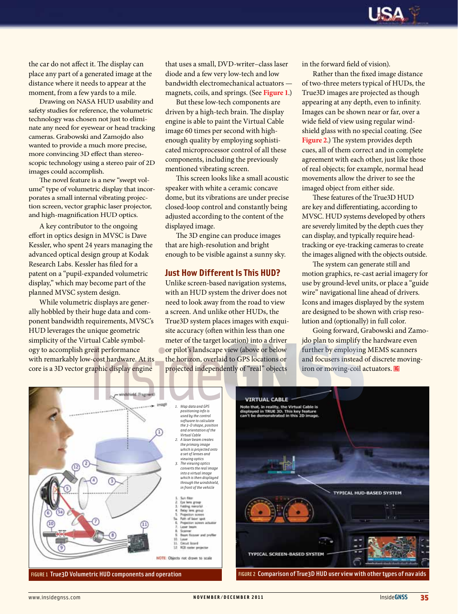the car do not affect it. The display can place any part of a generated image at the distance where it needs to appear at the moment, from a few yards to a mile.

Drawing on NASA HUD usability and safety studies for reference, the volumetric technology was chosen not just to eliminate any need for eyewear or head tracking cameras. Grabowski and Zamojdo also wanted to provide a much more precise, more convincing 3D effect than stereoscopic technology using a stereo pair of 2D images could accomplish.

The novel feature is a new "swept volume" type of volumetric display that incorporates a small internal vibrating projection screen, vector graphic laser projector, and high-magnification HUD optics.

A key contributor to the ongoing effort in optics design in MVSC is Dave Kessler, who spent 24 years managing the advanced optical design group at Kodak Research Labs. Kessler has filed for a patent on a "pupil-expanded volumetric display," which may become part of the planned MVSC system design.

While volumetric displays are generally hobbled by their huge data and component bandwidth requirements, MVSC's HUD leverages the unique geometric simplicity of the Virtual Cable symbology to accomplish great performance with remarkably low-cost hardware. At its core is a 3D vector graphic display engine

that uses a small, DVD-writer–class laser diode and a few very low-tech and low bandwidth electromechanical actuators magnets, coils, and springs. (See **Figure 1**.)

But these low-tech components are driven by a high-tech brain. The display engine is able to paint the Virtual Cable image 60 times per second with highenough quality by employing sophisticated microprocessor control of all these components, including the previously mentioned vibrating screen.

This screen looks like a small acoustic speaker with white a ceramic concave dome, but its vibrations are under precise closed-loop control and constantly being adjusted according to the content of the displayed image.

The 3D engine can produce images that are high-resolution and bright enough to be visible against a sunny sky.

#### **Just How Different Is This HUD?**

Unlike screen-based navigation systems, with an HUD system the driver does not need to look away from the road to view a screen. And unlike other HUDs, the True3D system places images with exquisite accuracy (often within less than one meter of the target location) into a driver or pilot's landscape view (above or below the horizon, overlaid to GPS locations or projected independently of "real" objects

in the forward field of vision).

Rather than the fixed image distance of two-three meters typical of HUDs, the True3D images are projected as though appearing at any depth, even to infinity. Images can be shown near or far, over a wide field of view using regular windshield glass with no special coating. (See **Figure 2**.) The system provides depth cues, all of them correct and in complete agreement with each other, just like those of real objects; for example, normal head movements allow the driver to see the imaged object from either side.

These features of the True3D HUD are key and differentiating, according to MVSC. HUD systems developed by others are severely limited by the depth cues they can display, and typically require headtracking or eye-tracking cameras to create the images aligned with the objects outside.

The system can generate still and motion graphics, re-cast aerial imagery for use by ground-level units, or place a "guide wire" navigational line ahead of drivers. Icons and images displayed by the system are designed to be shown with crisp resolution and (optionally) in full color.

Going forward, Grabowski and Zamojdo plan to simplify the hardware even further by employing MEMS scanners and focusers instead of discrete movingiron or moving-coil actuators. IG



FIGURE 1 True3D Volumetric HUD components and operation



FIGURE 2 Comparison of True3D HUD user view with other types of nav aids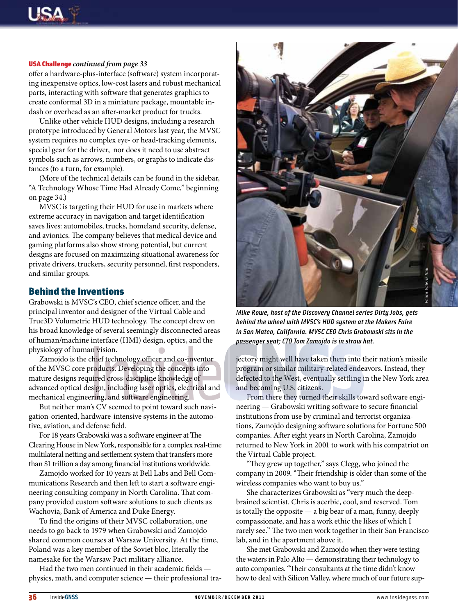#### USA Challenge *continued from page 33*

offer a hardware-plus-interface (software) system incorporating inexpensive optics, low-cost lasers and robust mechanical parts, interacting with software that generates graphics to create conformal 3D in a miniature package, mountable indash or overhead as an after-market product for trucks.

Unlike other vehicle HUD designs, including a research prototype introduced by General Motors last year, the MVSC system requires no complex eye- or head-tracking elements, special gear for the driver, nor does it need to use abstract symbols such as arrows, numbers, or graphs to indicate distances (to a turn, for example).

(More of the technical details can be found in the sidebar, "A Technology Whose Time Had Already Come," beginning on page 34.)

MVSC is targeting their HUD for use in markets where extreme accuracy in navigation and target identification saves lives: automobiles, trucks, homeland security, defense, and avionics. The company believes that medical device and gaming platforms also show strong potential, but current designs are focused on maximizing situational awareness for private drivers, truckers, security personnel, first responders, and similar groups.

#### Behind the Inventions

Grabowski is MVSC's CEO, chief science officer, and the principal inventor and designer of the Virtual Cable and True3D Volumetric HUD technology. The concept drew on his broad knowledge of several seemingly disconnected areas of human/machine interface (HMI) design, optics, and the physiology of human vision.

Zamojdo is the chief technology officer and co-inventor of the MVSC core products. Developing the concepts into mature designs required cross-discipline knowledge of advanced optical design, including laser optics, electrical and mechanical engineering, and software engineering.

But neither man's CV seemed to point toward such navigation-oriented, hardware-intensive systems in the automotive, aviation, and defense field.

For 18 years Grabowski was a software engineer at The Clearing House in New York, responsible for a complex real-time multilateral netting and settlement system that transfers more than \$1 trillion a day among financial institutions worldwide.

Zamojdo worked for 10 years at Bell Labs and Bell Communications Research and then left to start a software engineering consulting company in North Carolina. That company provided custom software solutions to such clients as Wachovia, Bank of America and Duke Energy.

To find the origins of their MVSC collaboration, one needs to go back to 1979 when Grabowski and Zamojdo shared common courses at Warsaw University. At the time, Poland was a key member of the Soviet bloc, literally the namesake for the Warsaw Pact military alliance.

Had the two men continued in their academic fields physics, math, and computer science — their professional tra-



*Mike Rowe, host of the Discovery Channel series Dirty Jobs, gets behind the wheel with MVSC's HUD system at the Makers Faire in San Mateo, California. MVSC CEO Chris Grabowski sits in the passenger seat; CTO Tom Zamojdo is in straw hat.* 

jectory might well have taken them into their nation's missile program or similar military-related endeavors. Instead, they defected to the West, eventually settling in the New York area and becoming U.S. citizens.

From there they turned their skills toward software engineering — Grabowski writing software to secure financial institutions from use by criminal and terrorist organizations, Zamojdo designing software solutions for Fortune 500 companies. After eight years in North Carolina, Zamojdo returned to New York in 2001 to work with his compatriot on the Virtual Cable project.

"They grew up together," says Clegg, who joined the company in 2009. "Their friendship is older than some of the wireless companies who want to buy us."

She characterizes Grabowski as "very much the deepbrained scientist. Chris is acerbic, cool, and reserved. Tom is totally the opposite — a big bear of a man, funny, deeply compassionate, and has a work ethic the likes of which I rarely see." The two men work together in their San Francisco lab, and in the apartment above it.

She met Grabowski and Zamojdo when they were testing the waters in Palo Alto — demonstrating their technology to auto companies. "Their consultants at the time didn't know how to deal with Silicon Valley, where much of our future sup-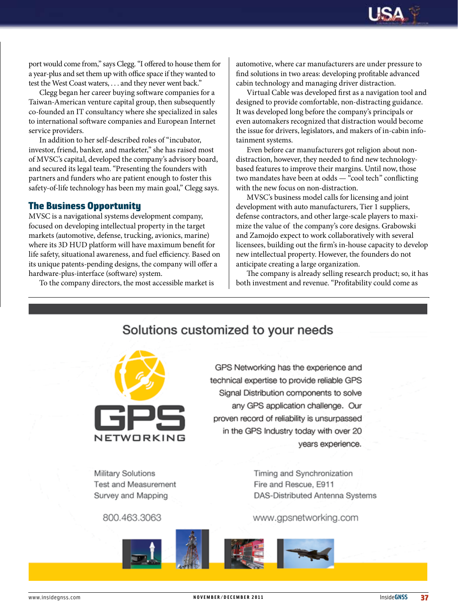

port would come from," says Clegg. "I offered to house them for a year-plus and set them up with office space if they wanted to test the West Coast waters, . . . and they never went back."

Clegg began her career buying software companies for a Taiwan-American venture capital group, then subsequently co-founded an IT consultancy where she specialized in sales to international software companies and European Internet service providers.

In addition to her self-described roles of "incubator, investor, friend, banker, and marketer," she has raised most of MVSC's capital, developed the company's advisory board, and secured its legal team. "Presenting the founders with partners and funders who are patient enough to foster this safety-of-life technology has been my main goal," Clegg says.

#### The Business Opportunity

MVSC is a navigational systems development company, focused on developing intellectual property in the target markets (automotive, defense, trucking, avionics, marine) where its 3D HUD platform will have maximum benefit for life safety, situational awareness, and fuel efficiency. Based on its unique patents-pending designs, the company will offer a hardware-plus-interface (software) system.

To the company directors, the most accessible market is

automotive, where car manufacturers are under pressure to find solutions in two areas: developing profitable advanced cabin technology and managing driver distraction.

Virtual Cable was developed first as a navigation tool and designed to provide comfortable, non-distracting guidance. It was developed long before the company's principals or even automakers recognized that distraction would become the issue for drivers, legislators, and makers of in-cabin infotainment systems.

Even before car manufacturers got religion about nondistraction, however, they needed to find new technologybased features to improve their margins. Until now, those two mandates have been at odds — "cool tech" conflicting with the new focus on non-distraction.

MVSC's business model calls for licensing and joint development with auto manufacturers, Tier 1 suppliers, defense contractors, and other large-scale players to maximize the value of the company's core designs. Grabowski and Zamojdo expect to work collaboratively with several licensees, building out the firm's in-house capacity to develop new intellectual property. However, the founders do not anticipate creating a large organization.

The company is already selling research product; so, it has both investment and revenue. "Profitability could come as



Solutions customized to your needs

GPS Networking has the experience and technical expertise to provide reliable GPS Signal Distribution components to solve any GPS application challenge. Our proven record of reliability is unsurpassed in the GPS Industry today with over 20 years experience.

Military Solutions Test and Measurement Survey and Mapping

800.463.3063

Timing and Synchronization Fire and Rescue, E911 DAS-Distributed Antenna Systems

www.gpsnetworking.com

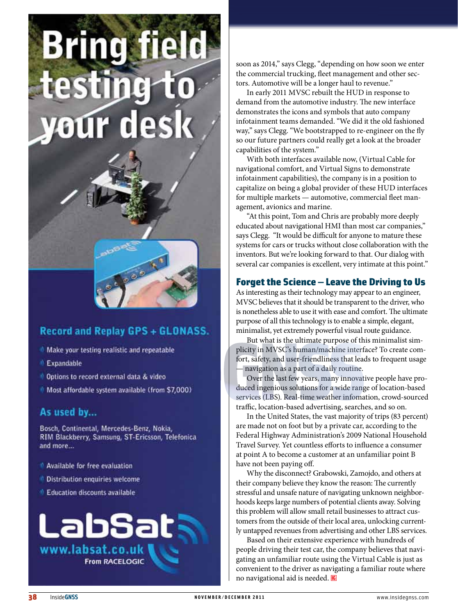# **Bring field** Ď testi  $\lceil \epsilon \rceil$ **your desi**

## **Record and Replay GPS + GLONASS.**

- <sup>1</sup> Make your testing realistic and repeatable
- **Expandable**
- Options to record external data & video
- Most affordable system available (from \$7,000)

#### As used by...

Bosch, Continental, Mercedes-Benz, Nokia, RIM Blackberry, Samsung, ST-Ericsson, Telefonica and more...

- <sup>1</sup> Available for free evaluation
- <sup>1</sup> Distribution enquiries welcome
- **Education discounts available**



soon as 2014," says Clegg, "depending on how soon we enter the commercial trucking, fleet management and other sec tors. Automotive will be a longer haul to revenue."

In early 2011 MVSC rebuilt the HUD in response to demand from the automotive industry. The new interface demonstrates the icons and symbols that auto company infotainment teams demanded. "We did it the old fashioned way," says Clegg. "We bootstrapped to re-engineer on the fly so our future partners could really get a look at the broader capabilities of the system."

With both interfaces available now, (Virtual Cable for navigational comfort, and Virtual Signs to demonstrate infotainment capabilities), the company is in a position to capitalize on being a global provider of these HUD interfaces for multiple markets — automotive, commercial fleet man agement, avionics and marine.

"At this point, Tom and Chris are probably more deeply educated about navigational HMI than most car companies," says Clegg. "It would be difficult for anyone to mature these systems for cars or trucks without close collaboration with the inventors. But we're looking forward to that. Our dialog with several car companies is excellent, very intimate at this point."

#### Forget the Science — Leave the Driving to Us

As interesting as their technology may appear to an engineer, MVSC believes that it should be transparent to the driver, who is nonetheless able to use it with ease and comfort. The ultimate purpose of all this technology is to enable a simple, elegant, minimalist, yet extremely powerful visual route guidance.

But what is the ultimate purpose of this minimalist sim plicity in MVSC's human/machine interface? To create com fort, safety, and user-friendliness that leads to frequent usage — navigation as a part of a daily routine.

Over the last few years, many innovative people have pro duced ingenious solutions for a wide range of location-based services (LBS). Real-time weather infomation, crowd-sourced traffic, location-based advertising, searches, and so on.

In the United States, the vast majority of trips (83 percent) are made not on foot but by a private car, according to the Federal Highway Administration's 2009 National Household Travel Survey. Yet countless efforts to influence a consumer at point A to become a customer at an unfamiliar point B have not been paying off.

Why the disconnect? Grabowski, Zamojdo, and others at their company believe they know the reason: The currently stressful and unsafe nature of navigating unknown neighbor hoods keeps large numbers of potential clients away. Solving this problem will allow small retail businesses to attract cus tomers from the outside of their local area, unlocking current ly untapped revenues from advertising and other LBS services.

Based on their extensive experience with hundreds of people driving their test car, the company believes that navi gating an unfamiliar route using the Virtual Cable is just as convenient to the driver as navigating a familiar route where no navigational aid is needed.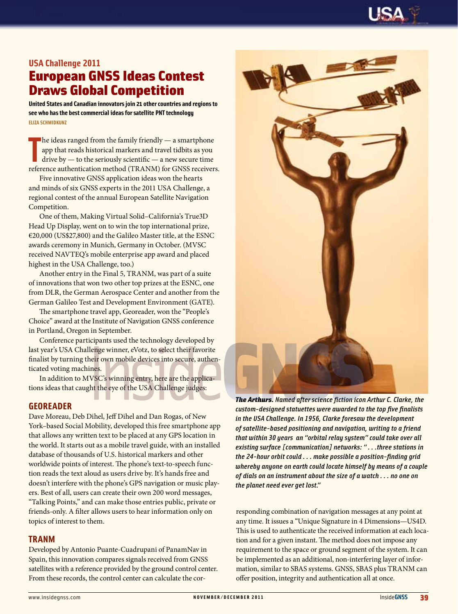

#### **USA Challenge 2011**

# European GNSS Ideas Contest Draws Global Competition

**United States and Canadian innovators join 21 other countries and regions to see who has the best commercial ideas for satellite PNT technology Eliza Schmidkunz**

The ideas ranged from the family friendly — a smartphone app that reads historical markers and travel tidbits as you drive by — to the seriously scientific — a new secure time reference authentication method (TRANM) for GN  $\blacksquare$  he ideas ranged from the family friendly  $-$  a smartphone app that reads historical markers and travel tidbits as you drive by — to the seriously scientific — a new secure time

Five innovative GNSS application ideas won the hearts and minds of six GNSS experts in the 2011 USA Challenge, a regional contest of the annual European Satellite Navigation Competition.

One of them, Making Virtual Solid–California's True3D Head Up Display, went on to win the top international prize, €20,000 (US\$27,800) and the Galileo Master title, at the ESNC awards ceremony in Munich, Germany in October. (MVSC received NAVTEQ's mobile enterprise app award and placed highest in the USA Challenge, too.)

Another entry in the Final 5, TRANM, was part of a suite of innovations that won two other top prizes at the ESNC, one from DLR, the German Aerospace Center and another from the German Galileo Test and Development Environment (GATE).

The smartphone travel app, Georeader, won the "People's Choice" award at the Institute of Navigation GNSS conference in Portland, Oregon in September.

Conference participants used the technology developed by last year's USA Challenge winner, eVotz, to select their favorite finalist by turning their own mobile devices into secure, authenticated voting machines.

In addition to MVSC's winning entry, here are the applications ideas that caught the eye of the USA Challenge judges:

#### **GEOREADER**

Dave Moreau, Deb Dihel, Jeff Dihel and Dan Rogas, of New York–based Social Mobility, developed this free smartphone app that allows any written text to be placed at any GPS location in the world. It starts out as a mobile travel guide, with an installed database of thousands of U.S. historical markers and other worldwide points of interest. The phone's text-to-speech function reads the text aloud as users drive by. It's hands free and doesn't interfere with the phone's GPS navigation or music players. Best of all, users can create their own 200 word messages, "Talking Points," and can make those entries public, private or friends-only. A filter allows users to hear information only on topics of interest to them.

#### **TRANM**

Developed by Antonio Puante-Cuadrupani of PanamNav in Spain, this innovation compares signals received from GNSS satellites with a reference provided by the ground control center. From these records, the control center can calculate the cor-



*The Arthurs. Named after science fiction icon Arthur C. Clarke, the custom-designed statuettes were awarded to the top five finalists in the USA Challenge. In 1956, Clarke foresaw the development of satellite-based positioning and navigation, writing to a friend that within 30 years an "orbital relay system" could take over all existing surface [communication] networks: " . . .three stations in the 24-hour orbit could . . . make possible a position-finding grid whereby anyone on earth could locate himself by means of a couple of dials on an instrument about the size of a watch . . . no one on the planet need ever get lost."*

responding combination of navigation messages at any point at any time. It issues a "Unique Signature in 4 Dimensions—US4D. This is used to authenticate the received information at each location and for a given instant. The method does not impose any requirement to the space or ground segment of the system. It can be implemented as an additional, non-interfering layer of information, similar to SBAS systems. GNSS, SBAS plus TRANM can offer position, integrity and authentication all at once.